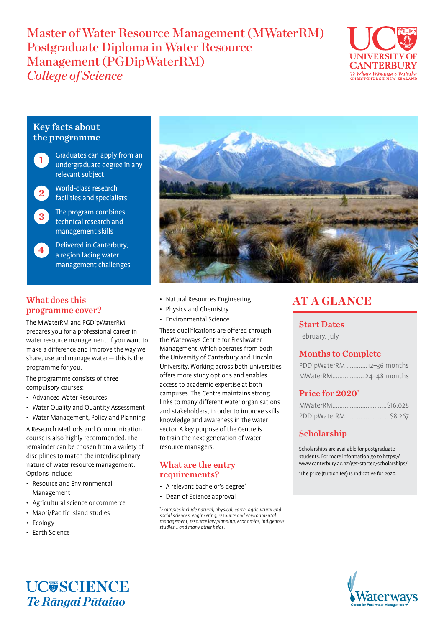# Master of Water Resource Management (MWaterRM) Postgraduate Diploma in Water Resource Management (PGDipWaterRM) *College of Science*



### Key facts about the programme



Graduates can apply from an undergraduate degree in any relevant subject

2

4

World-class research facilities and specialists

The program combines technical research and management skills 3

> Delivered in Canterbury, a region facing water management challenges

### What does this programme cover?

The MWaterRM and PGDipWaterRM prepares you for a professional career in water resource management. If you want to make a difference and improve the way we share, use and manage water — this is the programme for you.

The programme consists of three compulsory courses:

- Advanced Water Resources
- Water Quality and Quantity Assessment
- Water Management, Policy and Planning

A Research Methods and Communication course is also highly recommended. The remainder can be chosen from a variety of disciplines to match the interdisciplinary nature of water resource management. Options include:

- Resource and Environmental Management
- Agricultural science or commerce
- Maori/Pacific Island studies
- Ecology
- Earth Science



- Natural Resources Engineering
- Physics and Chemistry
- Environmental Science

These qualifications are offered through the Waterways Centre for Freshwater Management, which operates from both the University of Canterbury and Lincoln University. Working across both universities offers more study options and enables access to academic expertise at both campuses. The Centre maintains strong links to many different water organisations and stakeholders, in order to improve skills, knowledge and awareness in the water sector. A key purpose of the Centre is to train the next generation of water resource managers.

#### What are the entry requirements?

- A relevant bachelor's degree\*
- Dean of Science approval

\* Examples include natural, physical, earth, agricultural and social sciences, engineering, resource and environmental management, resource law planning, economics, indigenous studies… and many other fields.

## AT A GLANCE

## Start Dates

February, July

#### Months to Complete

| PDDipWaterRM 12-36 months |  |
|---------------------------|--|
| MWaterRM 24-48 months     |  |

#### Price for 2020\*

| PDDipWaterRM  \$8,267 |  |
|-----------------------|--|

## Scholarship

Scholarships are available for postgraduate students. For more information go to https:// www.canterbury.ac.nz/get-started/scholarships/

\* The price (tuition fee) is indicative for 2020.

UC**USCIENCE** *Te Rāngai Pūtaiao*